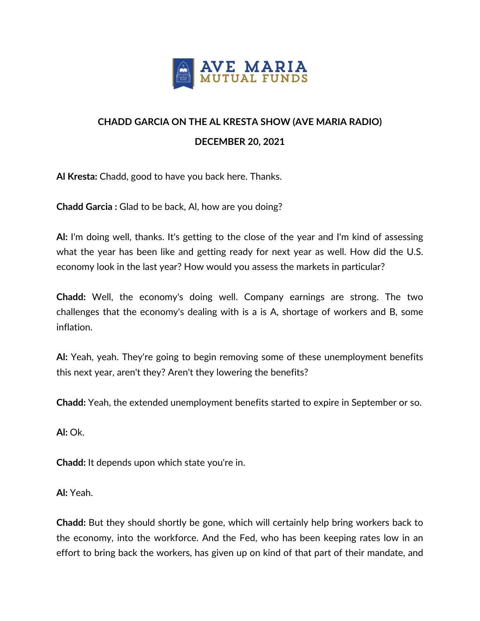

## **CHADD GARCIA ON THE AL KRESTA SHOW (AVE MARIA RADIO) DECEMBER 20, 2021**

**Al Kresta:** Chadd, good to have you back here. Thanks.

**Chadd Garcia :** Glad to be back, Al, how are you doing?

**Al:** I'm doing well, thanks. It's getting to the close of the year and I'm kind of assessing what the year has been like and getting ready for next year as well. How did the U.S. economy look in the last year? How would you assess the markets in particular?

**Chadd:** Well, the economy's doing well. Company earnings are strong. The two challenges that the economy's dealing with is a is A, shortage of workers and B, some inflation.

**Al:** Yeah, yeah. They're going to begin removing some of these unemployment benefits this next year, aren't they? Aren't they lowering the benefits?

**Chadd:** Yeah, the extended unemployment benefits started to expire in September or so.

**Al:** Ok.

**Chadd:** It depends upon which state you're in.

**Al:** Yeah.

**Chadd:** But they should shortly be gone, which will certainly help bring workers back to the economy, into the workforce. And the Fed, who has been keeping rates low in an effort to bring back the workers, has given up on kind of that part of their mandate, and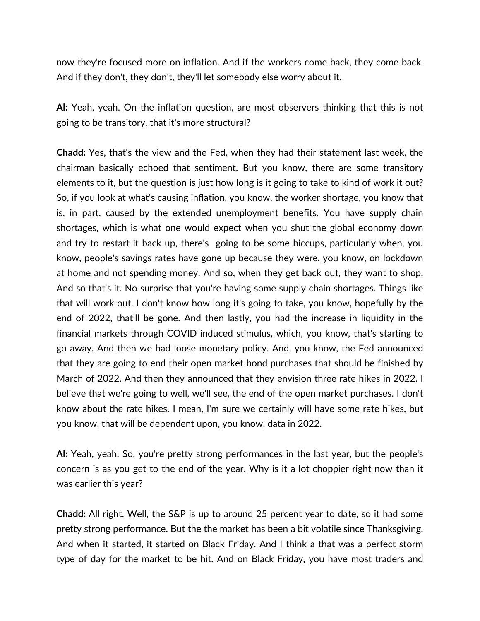now they're focused more on inflation. And if the workers come back, they come back. And if they don't, they don't, they'll let somebody else worry about it.

**Al:** Yeah, yeah. On the inflation question, are most observers thinking that this is not going to be transitory, that it's more structural?

**Chadd:** Yes, that's the view and the Fed, when they had their statement last week, the chairman basically echoed that sentiment. But you know, there are some transitory elements to it, but the question is just how long is it going to take to kind of work it out? So, if you look at what's causing inflation, you know, the worker shortage, you know that is, in part, caused by the extended unemployment benefits. You have supply chain shortages, which is what one would expect when you shut the global economy down and try to restart it back up, there's going to be some hiccups, particularly when, you know, people's savings rates have gone up because they were, you know, on lockdown at home and not spending money. And so, when they get back out, they want to shop. And so that's it. No surprise that you're having some supply chain shortages. Things like that will work out. I don't know how long it's going to take, you know, hopefully by the end of 2022, that'll be gone. And then lastly, you had the increase in liquidity in the financial markets through COVID induced stimulus, which, you know, that's starting to go away. And then we had loose monetary policy. And, you know, the Fed announced that they are going to end their open market bond purchases that should be finished by March of 2022. And then they announced that they envision three rate hikes in 2022. I believe that we're going to well, we'll see, the end of the open market purchases. I don't know about the rate hikes. I mean, I'm sure we certainly will have some rate hikes, but you know, that will be dependent upon, you know, data in 2022.

**Al:** Yeah, yeah. So, you're pretty strong performances in the last year, but the people's concern is as you get to the end of the year. Why is it a lot choppier right now than it was earlier this year?

**Chadd:** All right. Well, the S&P is up to around 25 percent year to date, so it had some pretty strong performance. But the the market has been a bit volatile since Thanksgiving. And when it started, it started on Black Friday. And I think a that was a perfect storm type of day for the market to be hit. And on Black Friday, you have most traders and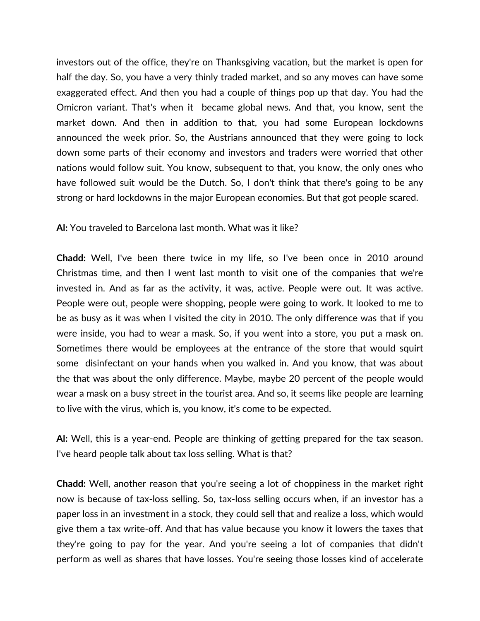investors out of the office, they're on Thanksgiving vacation, but the market is open for half the day. So, you have a very thinly traded market, and so any moves can have some exaggerated effect. And then you had a couple of things pop up that day. You had the Omicron variant. That's when it became global news. And that, you know, sent the market down. And then in addition to that, you had some European lockdowns announced the week prior. So, the Austrians announced that they were going to lock down some parts of their economy and investors and traders were worried that other nations would follow suit. You know, subsequent to that, you know, the only ones who have followed suit would be the Dutch. So, I don't think that there's going to be any strong or hard lockdowns in the major European economies. But that got people scared.

## **Al:** You traveled to Barcelona last month. What was it like?

**Chadd:** Well, I've been there twice in my life, so I've been once in 2010 around Christmas time, and then I went last month to visit one of the companies that we're invested in. And as far as the activity, it was, active. People were out. It was active. People were out, people were shopping, people were going to work. It looked to me to be as busy as it was when I visited the city in 2010. The only difference was that if you were inside, you had to wear a mask. So, if you went into a store, you put a mask on. Sometimes there would be employees at the entrance of the store that would squirt some disinfectant on your hands when you walked in. And you know, that was about the that was about the only difference. Maybe, maybe 20 percent of the people would wear a mask on a busy street in the tourist area. And so, it seems like people are learning to live with the virus, which is, you know, it's come to be expected.

**Al:** Well, this is a year-end. People are thinking of getting prepared for the tax season. I've heard people talk about tax loss selling. What is that?

**Chadd:** Well, another reason that you're seeing a lot of choppiness in the market right now is because of tax-loss selling. So, tax-loss selling occurs when, if an investor has a paper loss in an investment in a stock, they could sell that and realize a loss, which would give them a tax write-off. And that has value because you know it lowers the taxes that they're going to pay for the year. And you're seeing a lot of companies that didn't perform as well as shares that have losses. You're seeing those losses kind of accelerate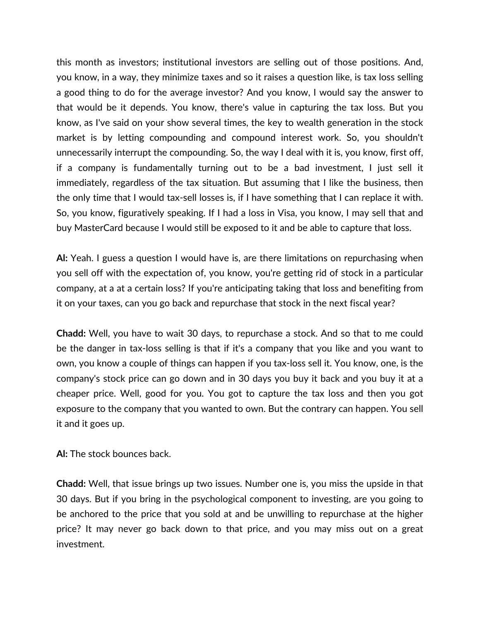this month as investors; institutional investors are selling out of those positions. And, you know, in a way, they minimize taxes and so it raises a question like, is tax loss selling a good thing to do for the average investor? And you know, I would say the answer to that would be it depends. You know, there's value in capturing the tax loss. But you know, as I've said on your show several times, the key to wealth generation in the stock market is by letting compounding and compound interest work. So, you shouldn't unnecessarily interrupt the compounding. So, the way I deal with it is, you know, first off, if a company is fundamentally turning out to be a bad investment, I just sell it immediately, regardless of the tax situation. But assuming that I like the business, then the only time that I would tax-sell losses is, if I have something that I can replace it with. So, you know, figuratively speaking. If I had a loss in Visa, you know, I may sell that and buy MasterCard because I would still be exposed to it and be able to capture that loss.

**Al:** Yeah. I guess a question I would have is, are there limitations on repurchasing when you sell off with the expectation of, you know, you're getting rid of stock in a particular company, at a at a certain loss? If you're anticipating taking that loss and benefiting from it on your taxes, can you go back and repurchase that stock in the next fiscal year?

**Chadd:** Well, you have to wait 30 days, to repurchase a stock. And so that to me could be the danger in tax-loss selling is that if it's a company that you like and you want to own, you know a couple of things can happen if you tax-loss sell it. You know, one, is the company's stock price can go down and in 30 days you buy it back and you buy it at a cheaper price. Well, good for you. You got to capture the tax loss and then you got exposure to the company that you wanted to own. But the contrary can happen. You sell it and it goes up.

**Al:** The stock bounces back.

**Chadd:** Well, that issue brings up two issues. Number one is, you miss the upside in that 30 days. But if you bring in the psychological component to investing, are you going to be anchored to the price that you sold at and be unwilling to repurchase at the higher price? It may never go back down to that price, and you may miss out on a great investment.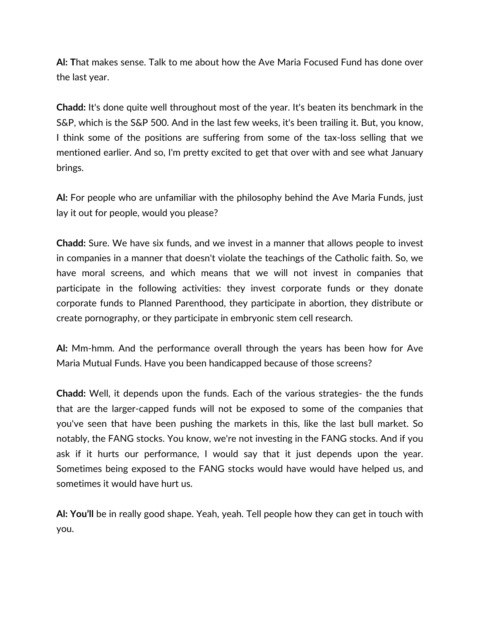**Al: T**hat makes sense. Talk to me about how the Ave Maria Focused Fund has done over the last year.

**Chadd:** It's done quite well throughout most of the year. It's beaten its benchmark in the S&P, which is the S&P 500. And in the last few weeks, it's been trailing it. But, you know, I think some of the positions are suffering from some of the tax-loss selling that we mentioned earlier. And so, I'm pretty excited to get that over with and see what January brings.

**Al:** For people who are unfamiliar with the philosophy behind the Ave Maria Funds, just lay it out for people, would you please?

**Chadd:** Sure. We have six funds, and we invest in a manner that allows people to invest in companies in a manner that doesn't violate the teachings of the Catholic faith. So, we have moral screens, and which means that we will not invest in companies that participate in the following activities: they invest corporate funds or they donate corporate funds to Planned Parenthood, they participate in abortion, they distribute or create pornography, or they participate in embryonic stem cell research.

**Al:** Mm-hmm. And the performance overall through the years has been how for Ave Maria Mutual Funds. Have you been handicapped because of those screens?

**Chadd:** Well, it depends upon the funds. Each of the various strategies- the the funds that are the larger-capped funds will not be exposed to some of the companies that you've seen that have been pushing the markets in this, like the last bull market. So notably, the FANG stocks. You know, we're not investing in the FANG stocks. And if you ask if it hurts our performance, I would say that it just depends upon the year. Sometimes being exposed to the FANG stocks would have would have helped us, and sometimes it would have hurt us.

**Al: You'll** be in really good shape. Yeah, yeah. Tell people how they can get in touch with you.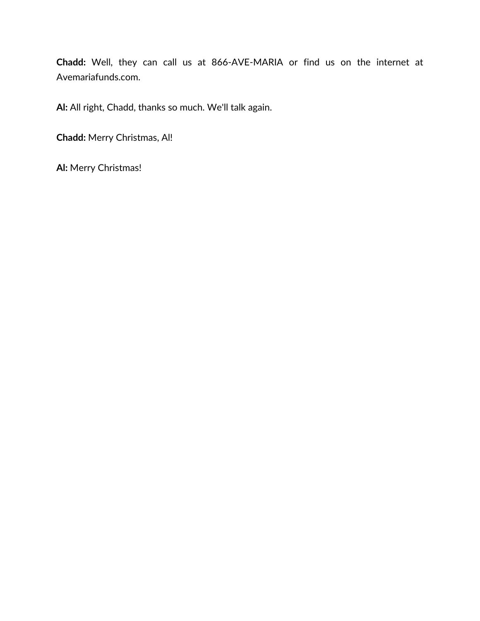**Chadd:** Well, they can call us at 866-AVE-MARIA or find us on the internet at Avemariafunds.com.

**Al:** All right, Chadd, thanks so much. We'll talk again.

**Chadd:** Merry Christmas, Al!

**Al:** Merry Christmas!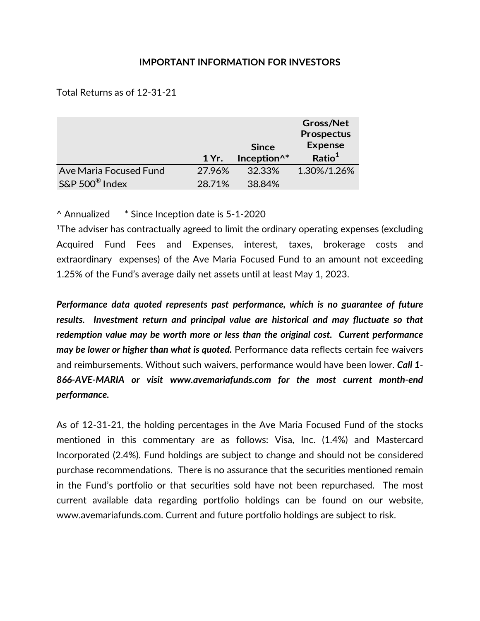## **IMPORTANT INFORMATION FOR INVESTORS**

Total Returns as of 12-31-21

|                        |        |                         | <b>Gross/Net</b><br><b>Prospectus</b> |
|------------------------|--------|-------------------------|---------------------------------------|
|                        |        | <b>Since</b>            | <b>Expense</b>                        |
|                        | 1 Yr.  | Inception <sup>^*</sup> | Ratio <sup>1</sup>                    |
| Ave Maria Focused Fund | 27.96% | 32.33%                  | 1.30%/1.26%                           |
|                        |        |                         |                                       |

^ Annualized \* Since Inception date is 5-1-2020

1The adviser has contractually agreed to limit the ordinary operating expenses (excluding Acquired Fund Fees and Expenses, interest, taxes, brokerage costs and extraordinary expenses) of the Ave Maria Focused Fund to an amount not exceeding 1.25% of the Fund's average daily net assets until at least May 1, 2023.

*Performance data quoted represents past performance, which is no guarantee of future results. Investment return and principal value are historical and may fluctuate so that redemption value may be worth more or less than the original cost. Current performance may be lower or higher than what is quoted.* Performance data reflects certain fee waivers and reimbursements. Without such waivers, performance would have been lower. *Call 1- 866-AVE-MARIA or visit www.avemariafunds.com for the most current month-end performance.*

As of 12-31-21, the holding percentages in the Ave Maria Focused Fund of the stocks mentioned in this commentary are as follows: Visa, Inc. (1.4%) and Mastercard Incorporated (2.4%). Fund holdings are subject to change and should not be considered purchase recommendations. There is no assurance that the securities mentioned remain in the Fund's portfolio or that securities sold have not been repurchased. The most current available data regarding portfolio holdings can be found on our website, www.avemariafunds.com. Current and future portfolio holdings are subject to risk.